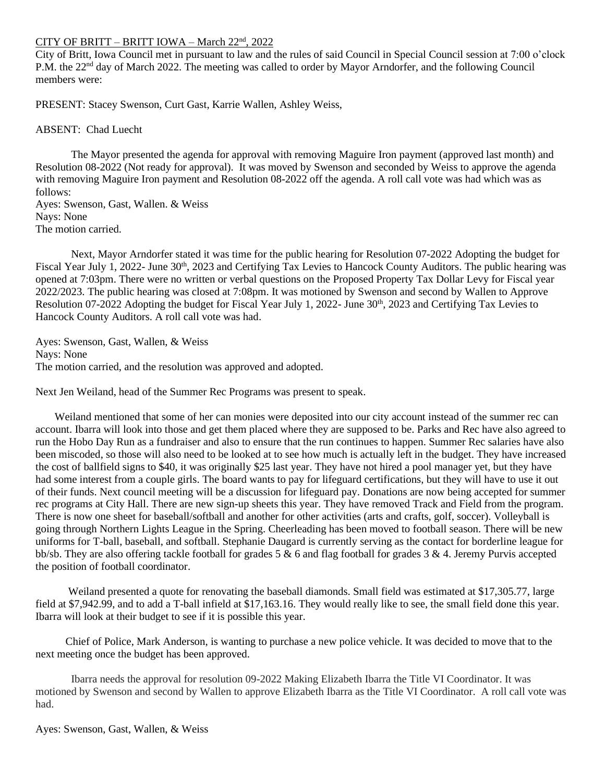## CITY OF BRITT – BRITT IOWA – March 22nd , 2022

City of Britt, Iowa Council met in pursuant to law and the rules of said Council in Special Council session at 7:00 o'clock P.M. the 22<sup>nd</sup> day of March 2022. The meeting was called to order by Mayor Arndorfer, and the following Council members were:

PRESENT: Stacey Swenson, Curt Gast, Karrie Wallen, Ashley Weiss,

## ABSENT: Chad Luecht

The Mayor presented the agenda for approval with removing Maguire Iron payment (approved last month) and Resolution 08-2022 (Not ready for approval). It was moved by Swenson and seconded by Weiss to approve the agenda with removing Maguire Iron payment and Resolution 08-2022 off the agenda. A roll call vote was had which was as follows: Ayes: Swenson, Gast, Wallen. & Weiss

Nays: None The motion carried.

Next, Mayor Arndorfer stated it was time for the public hearing for Resolution 07-2022 Adopting the budget for Fiscal Year July 1, 2022- June 30<sup>th</sup>, 2023 and Certifying Tax Levies to Hancock County Auditors. The public hearing was opened at 7:03pm. There were no written or verbal questions on the Proposed Property Tax Dollar Levy for Fiscal year 2022/2023. The public hearing was closed at 7:08pm. It was motioned by Swenson and second by Wallen to Approve Resolution 07-2022 Adopting the budget for Fiscal Year July 1, 2022- June 30<sup>th</sup>, 2023 and Certifying Tax Levies to Hancock County Auditors. A roll call vote was had.

Ayes: Swenson, Gast, Wallen, & Weiss Nays: None The motion carried, and the resolution was approved and adopted.

Next Jen Weiland, head of the Summer Rec Programs was present to speak.

 Weiland mentioned that some of her can monies were deposited into our city account instead of the summer rec can account. Ibarra will look into those and get them placed where they are supposed to be. Parks and Rec have also agreed to run the Hobo Day Run as a fundraiser and also to ensure that the run continues to happen. Summer Rec salaries have also been miscoded, so those will also need to be looked at to see how much is actually left in the budget. They have increased the cost of ballfield signs to \$40, it was originally \$25 last year. They have not hired a pool manager yet, but they have had some interest from a couple girls. The board wants to pay for lifeguard certifications, but they will have to use it out of their funds. Next council meeting will be a discussion for lifeguard pay. Donations are now being accepted for summer rec programs at City Hall. There are new sign-up sheets this year. They have removed Track and Field from the program. There is now one sheet for baseball/softball and another for other activities (arts and crafts, golf, soccer). Volleyball is going through Northern Lights League in the Spring. Cheerleading has been moved to football season. There will be new uniforms for T-ball, baseball, and softball. Stephanie Daugard is currently serving as the contact for borderline league for bb/sb. They are also offering tackle football for grades 5 & 6 and flag football for grades 3 & 4. Jeremy Purvis accepted the position of football coordinator.

 Weiland presented a quote for renovating the baseball diamonds. Small field was estimated at \$17,305.77, large field at \$7,942.99, and to add a T-ball infield at \$17,163.16. They would really like to see, the small field done this year. Ibarra will look at their budget to see if it is possible this year.

 Chief of Police, Mark Anderson, is wanting to purchase a new police vehicle. It was decided to move that to the next meeting once the budget has been approved.

Ibarra needs the approval for resolution 09-2022 Making Elizabeth Ibarra the Title VI Coordinator. It was motioned by Swenson and second by Wallen to approve Elizabeth Ibarra as the Title VI Coordinator. A roll call vote was had.